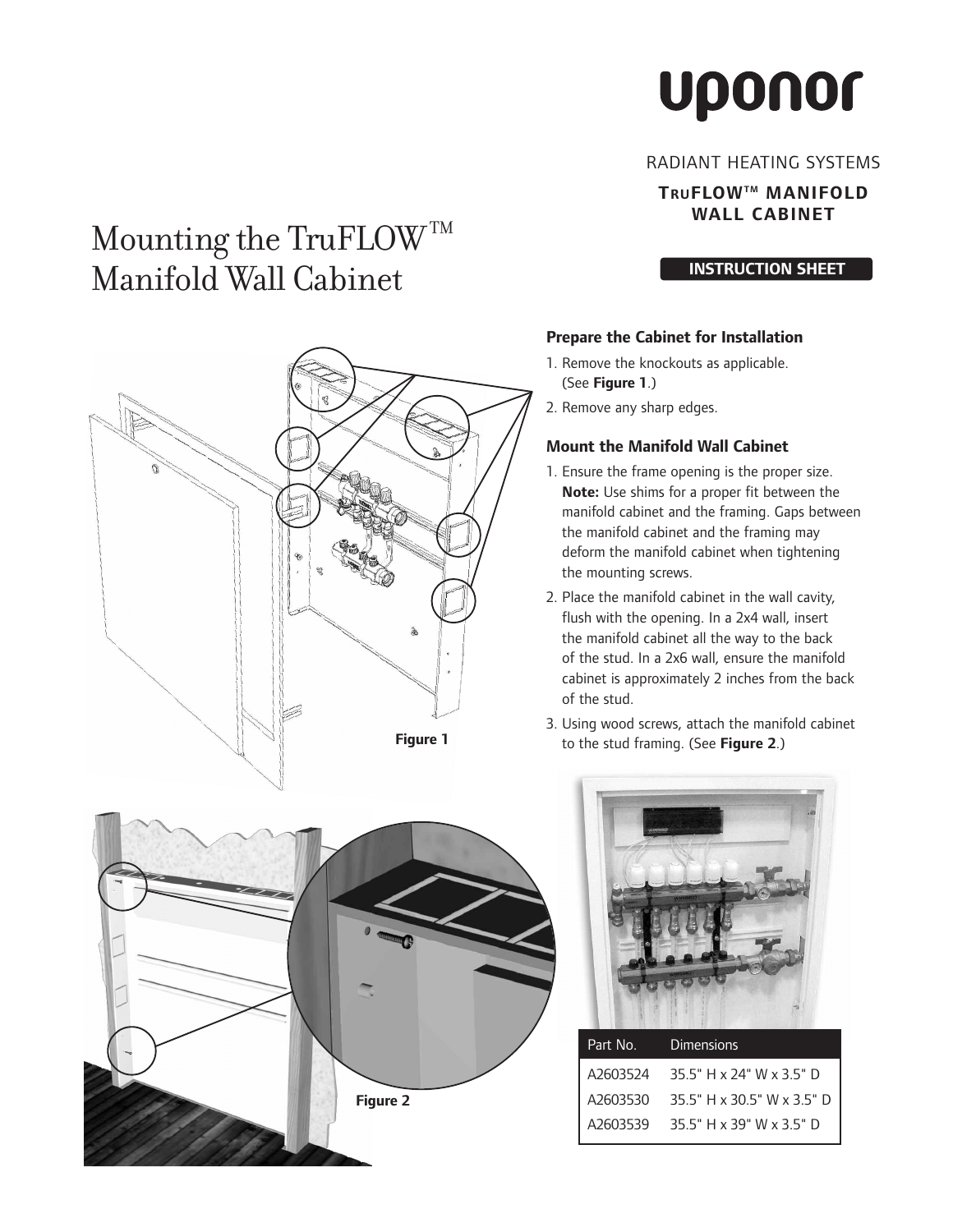# **Uponor**

#### RADIANT HEATING SYSTEMS

## **TRUFLOWTM MANIFOLD WALL CABINET**

#### **INSTRUCTION SHEET**

#### **Prepare the Cabinet for Installation**

- 1. Remove the knockouts as applicable. (See **Figure 1**.)
- 2. Remove any sharp edges.

## **Mount the Manifold Wall Cabinet**

- 1. Ensure the frame opening is the proper size. **Note:** Use shims for a proper fit between the manifold cabinet and the framing. Gaps between the manifold cabinet and the framing may deform the manifold cabinet when tightening the mounting screws.
- 2. Place the manifold cabinet in the wall cavity, flush with the opening. In a 2x4 wall, insert the manifold cabinet all the way to the back of the stud. In a 2x6 wall, ensure the manifold cabinet is approximately 2 inches from the back of the stud.
- 3. Using wood screws, attach the manifold cabinet to the stud framing. (See **Figure 2**.)





| Part No. | <b>Dimensions</b>                   |
|----------|-------------------------------------|
|          | A2603524 35.5" H x 24" W x 3.5" D   |
|          | A2603530 35.5" H x 30.5" W x 3.5" D |
|          | A2603539 35.5" H x 39" W x 3.5" D   |
|          |                                     |